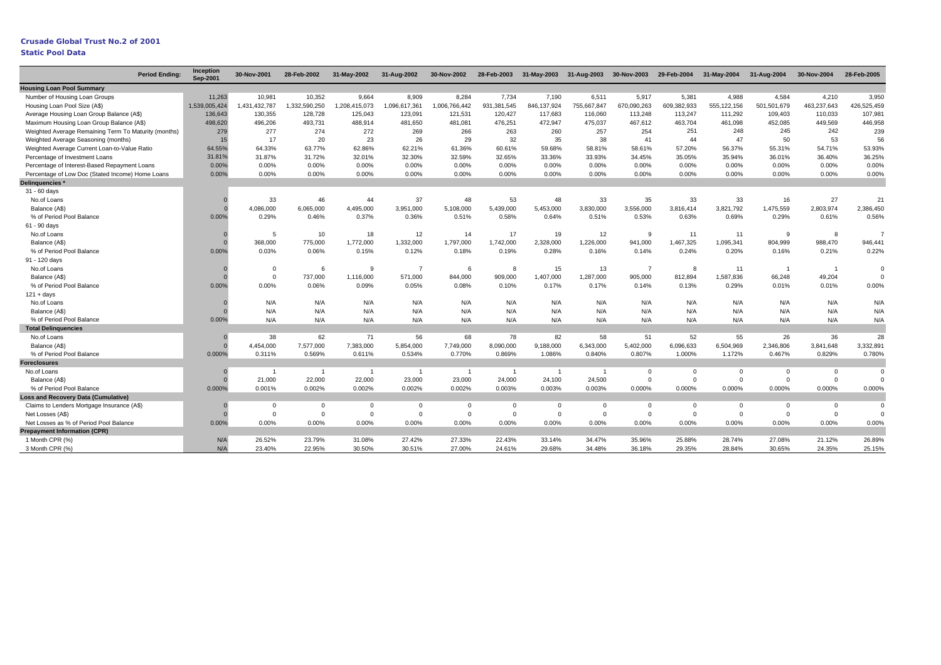# **Crusade Global Trust No.2 of 2001**

**Static Pool Data** 

| <b>Period Endina:</b>                                | <b>Inception</b><br>Sep-2001 | 30-Nov-2001    | 28-Feb-2002   | 31-May-2002   | 31-Aug-2002    | 30-Nov-2002    | 28-Feb-2003 |                | 31-May-2003 31-Aug-2003 30-Nov-2003 29-Feb-2004 |                |              | 31-May-2004  | 31-Aug-2004    | 30-Nov-2004    | 28-Feb-2005 |
|------------------------------------------------------|------------------------------|----------------|---------------|---------------|----------------|----------------|-------------|----------------|-------------------------------------------------|----------------|--------------|--------------|----------------|----------------|-------------|
| <b>Housing Loan Pool Summary</b>                     |                              |                |               |               |                |                |             |                |                                                 |                |              |              |                |                |             |
| Number of Housing Loan Groups                        | 11.263                       | 10.981         | 10.352        | 9.664         | 8.909          | 8,284          | 7.734       | 7.190          | 6,511                                           | 5,917          | 5,381        | 4.988        | 4,584          | 4,210          | 3,950       |
| Housing Loan Pool Size (A\$)                         | 1,539,005,424                | 1,431,432,787  | 1,332,590,250 | 1,208,415,073 | 1,096,617,361  | 1,006,766,442  | 931,381,545 | 846,137,924    | 755,667,847                                     | 670,090,263    | 609,382,933  | 555,122,156  | 501,501,679    | 463,237,643    | 426,525,459 |
| Average Housing Loan Group Balance (A\$)             | 136,643                      | 130,355        | 128,728       | 125,043       | 123,091        | 121,531        | 120,427     | 117,683        | 116,060                                         | 113,248        | 113,247      | 111,292      | 109,403        | 110,033        | 107,981     |
| Maximum Housing Loan Group Balance (A\$)             | 498,620                      | 496,206        | 493,731       | 488,914       | 481,650        | 481,081        | 476,251     | 472,947        | 475,037                                         | 467,612        | 463,704      | 461,098      | 452,085        | 449,569        | 446,958     |
| Weighted Average Remaining Term To Maturity (months) | 279                          | 277            | 274           | 272           | 269            | 266            | 263         | 260            | 257                                             | 254            | 251          | 248          | 245            | 242            | 239         |
| Weighted Average Seasoning (months)                  | 15                           | 17             | 20            | 23            | 26             | 29             | 32          | 35             | 38                                              | 41             | 44           | 47           | 50             | 53             | 56          |
| Weighted Average Current Loan-to-Value Ratio         | 64.55%                       | 64.33%         | 63.77%        | 62.86%        | 62.21%         | 61.36%         | 60.61%      | 59.68%         | 58.81%                                          | 58.61%         | 57.20%       | 56.37%       | 55.31%         | 54.71%         | 53.93%      |
| Percentage of Investment Loans                       | 31.81%                       | 31.87%         | 31.72%        | 32.01%        | 32.30%         | 32.59%         | 32.65%      | 33.36%         | 33.93%                                          | 34.45%         | 35.05%       | 35.94%       | 36.01%         | 36.40%         | 36.25%      |
| Percentage of Interest-Based Repayment Loans         | 0.00%                        | 0.00%          | 0.00%         | 0.00%         | 0.00%          | 0.00%          | 0.00%       | 0.00%          | 0.00%                                           | 0.00%          | 0.00%        | 0.00%        | 0.00%          | 0.00%          | 0.00%       |
| Percentage of Low Doc (Stated Income) Home Loans     | 0.00%                        | 0.00%          | 0.00%         | 0.00%         | 0.00%          | 0.00%          | 0.00%       | 0.00%          | 0.00%                                           | 0.00%          | 0.00%        | 0.00%        | 0.00%          | 0.00%          | 0.00%       |
| Delinquencies *                                      |                              |                |               |               |                |                |             |                |                                                 |                |              |              |                |                |             |
| 31 - 60 days                                         |                              |                |               |               |                |                |             |                |                                                 |                |              |              |                |                |             |
| No.of Loans                                          |                              | 33             | 46            | 44            | 37             | 48             | 53          | 48             | 33                                              | 35             | 33           | 33           | 16             | 27             | 21          |
| Balance (A\$)                                        |                              | 4,086,000      | 6,065,000     | 4,495,000     | 3,951,000      | 5,108,000      | 5,439,000   | 5,453,000      | 3,830,000                                       | 3,556,000      | 3,816,414    | 3,821,792    | 1,475,559      | 2,803,974      | 2,386,450   |
| % of Period Pool Balance                             | 0.00%                        | 0.29%          | 0.46%         | 0.37%         | 0.36%          | 0.51%          | 0.58%       | 0.64%          | 0.51%                                           | 0.53%          | 0.63%        | 0.69%        | 0.29%          | 0.61%          | 0.56%       |
| 61 - 90 days                                         |                              |                |               |               |                |                |             |                |                                                 |                |              |              |                |                |             |
| No.of Loans                                          |                              | 5              | 10            | 18            | 12             | 14             | 17          | 19             | 12                                              | 9              | 11           | 11           | 9              | 8              |             |
| Balance (A\$)                                        |                              | 368,000        | 775,000       | 1,772,000     | 1,332,000      | 1,797,000      | 1,742,000   | 2,328,000      | 1,226,000                                       | 941,000        | 1,467,325    | 1,095,341    | 804,999        | 988,470        | 946,441     |
| % of Period Pool Balance                             | 0.00%                        | 0.03%          | 0.06%         | 0.15%         | 0.12%          | 0.18%          | 0.19%       | 0.28%          | 0.16%                                           | 0.14%          | 0.24%        | 0.20%        | 0.16%          | 0.21%          | 0.22%       |
| 91 - 120 days                                        |                              |                |               |               |                |                |             |                |                                                 |                |              |              |                |                |             |
| No.of Loans                                          |                              | $\Omega$       | 6             | 9             | $\overline{7}$ | 6              | 8           | 15             | 13                                              | $\overline{7}$ | 8            | 11           | $\overline{1}$ | $\overline{1}$ | $\Omega$    |
| Balance (A\$)                                        |                              | $\mathbf{0}$   | 737,000       | 1,116,000     | 571,000        | 844,000        | 909,000     | 1,407,000      | 1,287,000                                       | 905,000        | 812,894      | 1,587,836    | 66,248         | 49,204         | $\Omega$    |
| % of Period Pool Balance                             | 0.00%                        | 0.00%          | 0.06%         | 0.09%         | 0.05%          | 0.08%          | 0.10%       | 0.17%          | 0.17%                                           | 0.14%          | 0.13%        | 0.29%        | 0.01%          | 0.01%          | 0.00%       |
| $121 + days$                                         |                              |                |               |               |                |                |             |                |                                                 |                |              |              |                |                |             |
| No.of Loans                                          |                              | N/A            | N/A           | N/A           | N/A            | N/A            | N/A         | N/A            | N/A                                             | N/A            | N/A          | N/A          | N/A            | N/A            | N/A         |
| Balance (A\$)                                        |                              | N/A            | N/A           | N/A           | N/A            | N/A            | N/A         | N/A            | N/A                                             | N/A            | N/A          | N/A          | N/A            | N/A            | N/A         |
| % of Period Pool Balance                             | 0.00%                        | N/A            | N/A           | N/A           | N/A            | N/A            | N/A         | N/A            | N/A                                             | N/A            | N/A          | N/A          | N/A            | N/A            | N/A         |
| <b>Total Delinguencies</b>                           |                              |                |               |               |                |                |             |                |                                                 |                |              |              |                |                |             |
| No.of Loans                                          |                              | 38             | 62            | 71            | 56             | 68             | 78          | 82             | 58                                              | 51             | 52           | 55           | 26             | 36             | 28          |
| Balance (A\$)                                        | $\Omega$                     | 4.454.000      | 7,577,000     | 7,383,000     | 5,854,000      | 7,749,000      | 8,090,000   | 9,188,000      | 6,343,000                                       | 5,402,000      | 6,096,633    | 6,504,969    | 2,346,806      | 3,841,648      | 3,332,891   |
| % of Period Pool Balance                             | 0.000%                       | 0.311%         | 0.569%        | 0.611%        | 0.534%         | 0.770%         | 0.869%      | 1.086%         | 0.840%                                          | 0.807%         | 1.000%       | 1.172%       | 0.467%         | 0.829%         | 0.780%      |
| <b>Foreclosures</b>                                  |                              |                |               |               |                |                |             |                |                                                 |                |              |              |                |                |             |
| No.of Loans                                          |                              | $\overline{1}$ | -1            | -1            | $\overline{1}$ | $\overline{1}$ | -1          | $\overline{1}$ | $\overline{1}$                                  | $\mathbf{0}$   | $\mathbf{0}$ | $\mathbf{0}$ | $\Omega$       | $\mathbf 0$    | $\Omega$    |
| Balance (A\$)                                        |                              | 21,000         | 22,000        | 22,000        | 23,000         | 23,000         | 24,000      | 24,100         | 24,500                                          | $\overline{0}$ | $\Omega$     | $\Omega$     | $\Omega$       | $\Omega$       | $\Omega$    |
| % of Period Pool Balance                             | 0.000%                       | 0.001%         | 0.002%        | 0.002%        | 0.002%         | 0.002%         | 0.003%      | 0.003%         | 0.003%                                          | 0.000%         | 0.000%       | 0.000%       | 0.000%         | 0.000%         | 0.000%      |
| <b>Loss and Recovery Data (Cumulative)</b>           |                              |                |               |               |                |                |             |                |                                                 |                |              |              |                |                |             |
| Claims to Lenders Mortgage Insurance (A\$)           |                              | $\Omega$       | $\mathbf 0$   | $\mathbf 0$   | $\overline{0}$ | $\Omega$       | $\Omega$    | $\Omega$       | $\mathbf 0$                                     | $\overline{0}$ | $\mathbf 0$  | $\Omega$     | $\Omega$       | $\overline{0}$ | $\Omega$    |
| Net Losses (A\$)                                     |                              | $\Omega$       | $\mathbf 0$   | $\Omega$      | $\mathbf 0$    | $\Omega$       | $\Omega$    | $\Omega$       | $\mathsf 0$                                     | $\mathbf 0$    | $\Omega$     | $\Omega$     | $\Omega$       | $\overline{0}$ | $\Omega$    |
| Net Losses as % of Period Pool Balance               | 0.00%                        | 0.00%          | 0.00%         | 0.00%         | 0.00%          | 0.00%          | 0.00%       | 0.00%          | 0.00%                                           | 0.00%          | 0.00%        | 0.00%        | 0.00%          | 0.00%          | 0.00%       |
| <b>Prepayment Information (CPR)</b>                  |                              |                |               |               |                |                |             |                |                                                 |                |              |              |                |                |             |
| 1 Month CPR (%)                                      | N/A                          | 26.52%         | 23.79%        | 31.08%        | 27.42%         | 27.33%         | 22.43%      | 33.14%         | 34.47%                                          | 35.96%         | 25.88%       | 28.74%       | 27.08%         | 21.12%         | 26.89%      |
| 3 Month CPR (%)                                      | N/A                          | 23.40%         | 22.95%        | 30.50%        | 30.51%         | 27.00%         | 24.61%      | 29.68%         | 34.48%                                          | 36.18%         | 29.35%       | 28.84%       | 30.65%         | 24.35%         | 25.15%      |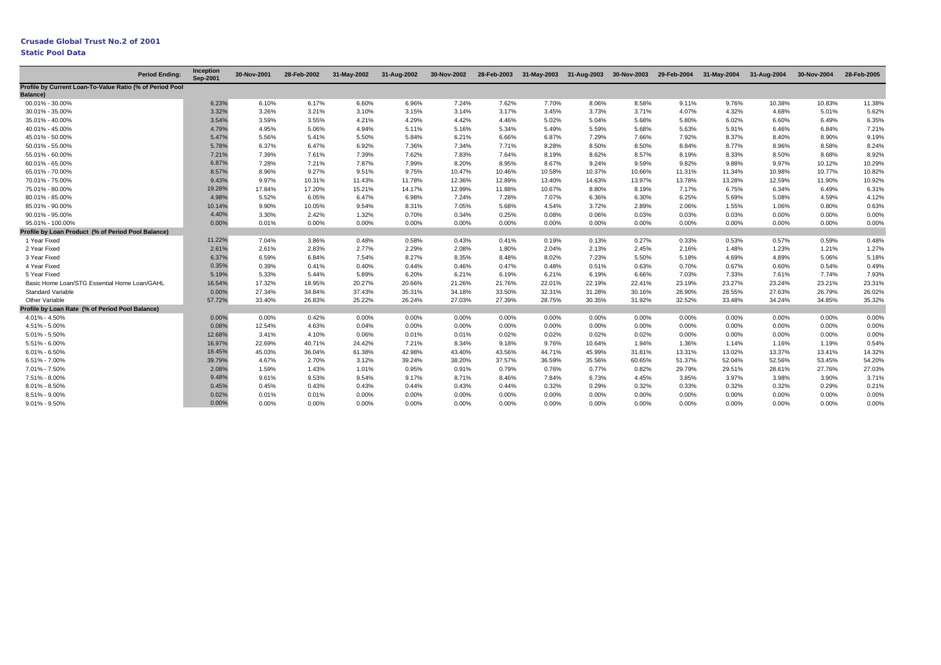|                                                                      | <b>Period Endina:</b> | Inception<br>Sep-2001 | 30-Nov-2001 | 28-Feb-2002 | 31-May-2002 | 31-Aug-2002 | 30-Nov-2002 | 28-Feb-2003 | 31-May-2003 |        | 31-Aug-2003 30-Nov-2003 29-Feb-2004 |        | 31-May-2004 | 31-Aug-2004 | 30-Nov-2004 | 28-Feb-2005 |
|----------------------------------------------------------------------|-----------------------|-----------------------|-------------|-------------|-------------|-------------|-------------|-------------|-------------|--------|-------------------------------------|--------|-------------|-------------|-------------|-------------|
| Profile by Current Loan-To-Value Ratio (% of Period Pool<br>Balance) |                       |                       |             |             |             |             |             |             |             |        |                                     |        |             |             |             |             |
| 00.01% - 30.00%                                                      |                       | 6.23%                 | 6.10%       | 6.17%       | 6.60%       | 6.96%       | 7.24%       | 7.62%       | 7.70%       | 8.06%  | 8.58%                               | 9.11%  | 9.76%       | 10.38%      | 10.83%      | 11.38%      |
| 30.01% - 35.00%                                                      |                       | 3.32%                 | 3.26%       | 3.21%       | 3.10%       | 3.15%       | 3.14%       | 3.17%       | 3.45%       | 3.73%  | 3.71%                               | 4.07%  | 4.32%       | 4.68%       | 5.01%       | 5.62%       |
| 35.01% - 40.00%                                                      |                       | 3.54%                 | 3.59%       | 3.55%       | 4.21%       | 4.29%       | 4.42%       | 4.46%       | 5.02%       | 5.04%  | 5.68%                               | 5.80%  | 6.02%       | 6.60%       | 6.49%       | 6.35%       |
| 40.01% - 45.00%                                                      |                       | 4.79%                 | 4.95%       | 5.06%       | 4.94%       | 5.11%       | 5.16%       | 5.34%       | 5.49%       | 5.59%  | 5.68%                               | 5.63%  | 5.91%       | 6.46%       | 6.84%       | 7.21%       |
| 45.01% - 50.00%                                                      |                       | 5.47%                 | 5.56%       | 5.41%       | 5.50%       | 5.84%       | 6.21%       | 6.66%       | 6.87%       | 7.29%  | 7.66%                               | 7.92%  | 8.37%       | 8.40%       | 8.90%       | 9.19%       |
| 50.01% - 55.00%                                                      |                       | 5.78%                 | 6.37%       | 6.47%       | 6.92%       | 7.36%       | 7.34%       | 7.71%       | 8.28%       | 8.50%  | 8.50%                               | 8.84%  | 8.77%       | 8.96%       | 8.58%       | 8.24%       |
| 55.01% - 60.00%                                                      |                       | 7.21%                 | 7.39%       | 7.61%       | 7.39%       | 7.62%       | 7.83%       | 7.64%       | 8.19%       | 8.62%  | 8.57%                               | 8.19%  | 8.33%       | 8.50%       | 8.68%       | 8.92%       |
| 60.01% - 65.00%                                                      |                       | 6.87%                 | 7.28%       | 7.21%       | 7.87%       | 7.99%       | 8.20%       | 8.95%       | 8.67%       | 9.24%  | 9.59%                               | 9.82%  | 9.88%       | 9.97%       | 10.12%      | 10.29%      |
| 65.01% - 70.00%                                                      |                       | 8.57%                 | 8.96%       | 9.27%       | 9.51%       | 9.75%       | 10.47%      | 10.46%      | 10.58%      | 10.37% | 10.66%                              | 11.31% | 11.34%      | 10.98%      | 10.77%      | 10.82%      |
| 70.01% - 75.00%                                                      |                       | 9.43%                 | 9.97%       | 10.31%      | 11.43%      | 11.78%      | 12.36%      | 12.89%      | 13.40%      | 14.63% | 13.97%                              | 13.78% | 13.28%      | 12.59%      | 11.90%      | 10.92%      |
| 75.01% - 80.00%                                                      |                       | 19.28%                | 17.84%      | 17.20%      | 15.21%      | 14.17%      | 12.99%      | 11.88%      | 10.67%      | 8.80%  | 8.19%                               | 7.17%  | 6.75%       | 6.34%       | 6.49%       | 6.31%       |
| 80.01% - 85.00%                                                      |                       | 4.98%                 | 5.52%       | 6.05%       | 6.47%       | 6.98%       | 7.24%       | 7.28%       | 7.07%       | 6.36%  | 6.30%                               | 6.25%  | 5.69%       | 5.08%       | 4.59%       | 4.12%       |
| 85.01% - 90.00%                                                      |                       | 10.14%                | 9.90%       | 10.05%      | 9.54%       | 8.31%       | 7.05%       | 5.68%       | 4.54%       | 3.72%  | 2.89%                               | 2.06%  | 1.55%       | 1.06%       | 0.80%       | 0.63%       |
| 90.01% - 95.00%                                                      |                       | 4.40%                 | 3.30%       | 2.42%       | 1.32%       | 0.70%       | 0.34%       | 0.25%       | 0.08%       | 0.06%  | 0.03%                               | 0.03%  | 0.03%       | 0.00%       | 0.00%       | 0.00%       |
| 95.01% - 100.00%                                                     |                       | 0.00%                 | 0.01%       | 0.00%       | 0.00%       | 0.00%       | 0.00%       | 0.00%       | 0.00%       | 0.00%  | 0.00%                               | 0.00%  | 0.00%       | 0.00%       | 0.00%       | 0.00%       |
| Profile by Loan Product (% of Period Pool Balance)                   |                       |                       |             |             |             |             |             |             |             |        |                                     |        |             |             |             |             |
| 1 Year Fixed                                                         |                       | 11.22%                | 7.04%       | 3.86%       | 0.48%       | 0.58%       | 0.43%       | 0.41%       | 0.19%       | 0.13%  | 0.27%                               | 0.33%  | 0.53%       | 0.57%       | 0.59%       | 0.48%       |
| 2 Year Fixed                                                         |                       | 2.61%                 | 2.61%       | 2.83%       | 2.77%       | 2.29%       | 2.08%       | 1.80%       | 2.04%       | 2.13%  | 2.45%                               | 2.16%  | 1.48%       | 1.23%       | 1.21%       | 1.27%       |
| 3 Year Fixed                                                         |                       | 6.37%                 | 6.59%       | 6.84%       | 7.54%       | 8.27%       | 8.35%       | 8.48%       | 8.02%       | 7.23%  | 5.50%                               | 5.18%  | 4.69%       | 4.89%       | 5.06%       | 5.18%       |
| 4 Year Fixed                                                         |                       | 0.35%                 | 0.39%       | 0.41%       | 0.40%       | 0.44%       | 0.46%       | 0.47%       | 0.48%       | 0.51%  | 0.63%                               | 0.70%  | 0.67%       | 0.60%       | 0.54%       | 0.49%       |
| 5 Year Fixed                                                         |                       | 5.19%                 | 5.33%       | 5.44%       | 5.89%       | 6.20%       | 6.21%       | 6.19%       | 6.21%       | 6.19%  | 6.66%                               | 7.03%  | 7.33%       | 7.61%       | 7.74%       | 7.93%       |
| Basic Home Loan/STG Essential Home Loan/GAHL                         |                       | 16.54%                | 17.32%      | 18.95%      | 20.27%      | 20.66%      | 21.26%      | 21.76%      | 22.01%      | 22.19% | 22.41%                              | 23.19% | 23.27%      | 23.24%      | 23.21%      | 23.31%      |
| <b>Standard Variable</b>                                             |                       | 0.00%                 | 27.34%      | 34.84%      | 37.43%      | 35.31%      | 34.18%      | 33.50%      | 32.31%      | 31.28% | 30.16%                              | 28.90% | 28.55%      | 27.63%      | 26.79%      | 26.02%      |
| Other Variable                                                       |                       | 57.72%                | 33.40%      | 26.83%      | 25.22%      | 26.24%      | 27.03%      | 27.39%      | 28.75%      | 30.35% | 31.92%                              | 32.52% | 33.48%      | 34.24%      | 34.85%      | 35.32%      |
| Profile by Loan Rate (% of Period Pool Balance)                      |                       |                       |             |             |             |             |             |             |             |        |                                     |        |             |             |             |             |
| 4.01% - 4.50%                                                        |                       | 0.00%                 | 0.00%       | 0.42%       | 0.00%       | 0.00%       | 0.00%       | 0.00%       | 0.00%       | 0.00%  | 0.00%                               | 0.00%  | 0.00%       | 0.00%       | 0.00%       | 0.00%       |
| 4.51% - 5.00%                                                        |                       | 0.08%                 | 12.54%      | 4.63%       | 0.04%       | 0.00%       | 0.00%       | 0.00%       | 0.00%       | 0.00%  | 0.00%                               | 0.00%  | 0.00%       | 0.00%       | 0.00%       | 0.00%       |
| 5.01% - 5.50%                                                        |                       | 12.68%                | 3.41%       | 4.10%       | 0.06%       | 0.01%       | 0.01%       | 0.02%       | 0.02%       | 0.02%  | 0.02%                               | 0.00%  | $0.00\%$    | 0.00%       | 0.00%       | 0.00%       |
| 5.51% - 6.00%                                                        |                       | 16.97%                | 22.69%      | 40.71%      | 24.42%      | 7.21%       | 8.34%       | 9.18%       | 9.76%       | 10.64% | 1.94%                               | 1.36%  | 1.14%       | 1.16%       | 1.19%       | 0.54%       |
| $6.01\% - 6.50\%$                                                    |                       | 18.45%                | 45.03%      | 36.04%      | 61.38%      | 42.98%      | 43.40%      | 43.56%      | 44.71%      | 45.99% | 31.81%                              | 13.31% | 13.02%      | 13.37%      | 13.41%      | 14.32%      |
| 6.51% - 7.00%                                                        |                       | 39.79%                | 4.67%       | 2.70%       | 3.12%       | 39.24%      | 38.20%      | 37.57%      | 36.59%      | 35.56% | 60.65%                              | 51.37% | 52.04%      | 52.56%      | 53.45%      | 54.20%      |
| 7.01% - 7.50%                                                        |                       | 2.08%                 | 1.59%       | 1.43%       | 1.01%       | 0.95%       | 0.91%       | 0.79%       | 0.76%       | 0.77%  | 0.82%                               | 29.79% | 29.51%      | 28.61%      | 27.76%      | 27.03%      |
| 7.51% - 8.00%                                                        |                       | 9.48%                 | 9.61%       | 9.53%       | 9.54%       | 9.17%       | 8.71%       | 8.46%       | 7.84%       | 6.73%  | 4.45%                               | 3.85%  | 3.97%       | 3.98%       | 3.90%       | 3.71%       |
| 8.01% - 8.50%                                                        |                       | 0.45%                 | 0.45%       | 0.43%       | 0.43%       | 0.44%       | 0.43%       | 0.44%       | 0.32%       | 0.29%  | 0.32%                               | 0.33%  | 0.32%       | 0.32%       | 0.29%       | 0.21%       |
| 8.51% - 9.00%                                                        |                       | 0.02%                 | 0.01%       | 0.01%       | 0.00%       | 0.00%       | 0.00%       | 0.00%       | 0.00%       | 0.00%  | 0.00%                               | 0.00%  | 0.00%       | 0.00%       | 0.00%       | 0.00%       |
| $9.01\% - 9.50\%$                                                    |                       | 0.00%                 | 0.00%       | 0.00%       | 0.00%       | 0.00%       | 0.00%       | 0.00%       | 0.00%       | 0.00%  | 0.00%                               | 0.00%  | 0.00%       | 0.00%       | 0.00%       | 0.00%       |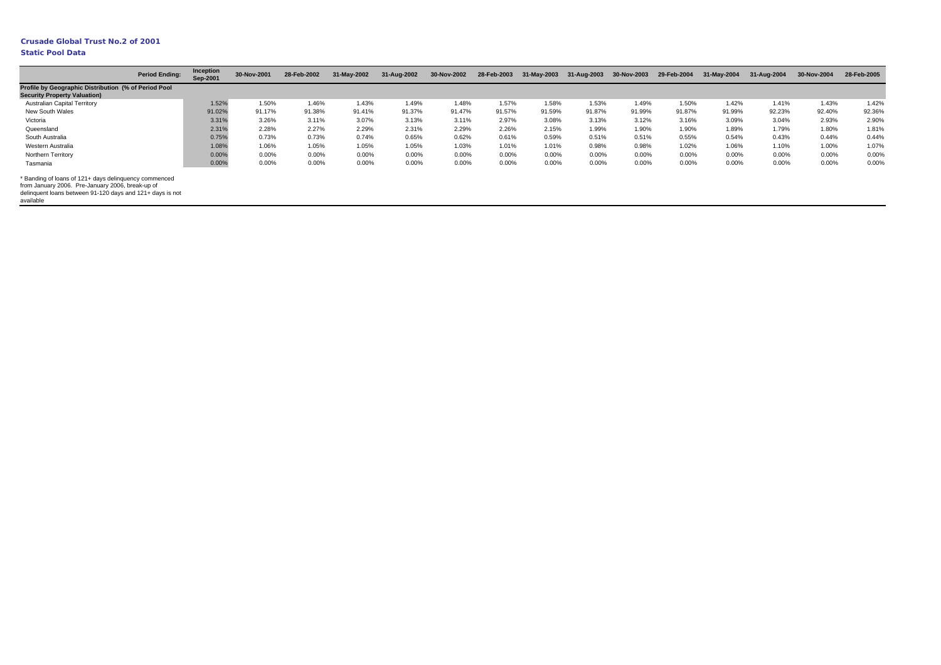|                                                                                                                                                                                     | <b>Period Ending:</b> | Inception<br>Sep-2001 | 30-Nov-2001 | 28-Feb-2002 | 31-May-2002 | 31-Aug-2002 | 30-Nov-2002 | 28-Feb-2003 | 31-May-2003 | 31-Aug-2003 | 30-Nov-2003 | 29-Feb-2004 | 31-May-2004 | 31-Aug-2004 | 30-Nov-2004 | 28-Feb-2005 |
|-------------------------------------------------------------------------------------------------------------------------------------------------------------------------------------|-----------------------|-----------------------|-------------|-------------|-------------|-------------|-------------|-------------|-------------|-------------|-------------|-------------|-------------|-------------|-------------|-------------|
| Profile by Geographic Distribution (% of Period Pool<br><b>Security Property Valuation)</b>                                                                                         |                       |                       |             |             |             |             |             |             |             |             |             |             |             |             |             |             |
| <b>Australian Capital Territory</b>                                                                                                                                                 |                       | 1.52%                 | 1.50%       | 1.46%       | 1.43%       | 1.49%       | 1.48%       | 1.57%       | 1.58%       | 1.53%       | 1.49%       | 1.50%       | 1.42%       | 1.41%       | 1.43%       | 1.42%       |
| New South Wales                                                                                                                                                                     |                       | 91.02%                | 91.17%      | 91.38%      | 91.41%      | 91.37%      | 91.47%      | 91.57%      | 91.59%      | 91.87%      | 91.99%      | 91.87%      | 91.99%      | 92.23%      | 92.40%      | 92.36%      |
| Victoria                                                                                                                                                                            |                       | 3.31%                 | 3.26%       | 3.11%       | 3.07%       | 3.13%       | 3.11%       | 2.97%       | 3.08%       | 3.13%       | 3.12%       | 3.16%       | 3.09%       | 3.04%       | 2.93%       | 2.90%       |
| Queensland                                                                                                                                                                          |                       | 2.31%                 | 2.28%       | 2.27%       | 2.29%       | 2.31%       | 2.29%       | 2.26%       | 2.15%       | 1.99%       | 1.90%       | 1.90%       | 1.89%       | 1.79%       | 1.80%       | 1.81%       |
| South Australia                                                                                                                                                                     |                       | 0.75%                 | 0.73%       | 0.73%       | 0.74%       | 0.65%       | 0.62%       | 0.61%       | 0.59%       | 0.51%       | 0.51%       | 0.55%       | 0.54%       | 0.43%       | 0.44%       | 0.44%       |
| Western Australia                                                                                                                                                                   |                       | 1.08%                 | 1.06%       | 1.05%       | 1.05%       | 1.05%       | 1.03%       | 1.01%       | 1.01%       | 0.98%       | 0.98%       | 1.02%       | 1.06%       | 1.10%       | 1.00%       | 1.07%       |
| Northern Territory                                                                                                                                                                  |                       | 0.00%                 | $0.00\%$    | 0.00%       | 0.00%       | 0.00%       | 0.00%       | 0.00%       | 0.00%       | 0.00%       | 0.00%       | 0.00%       | 0.00%       | 0.00%       | 0.00%       | 0.00%       |
| Tasmania                                                                                                                                                                            |                       | 0.00%                 | 0.00%       | 0.00%       | 0.00%       | 0.00%       | 0.00%       | 0.00%       | 0.00%       | 0.00%       | 0.00%       | 0.00%       | 0.00%       | 0.00%       | 0.00%       | 0.00%       |
| * Banding of loans of 121+ days delinguency commenced<br>from January 2006. Pre-January 2006, break-up of<br>delinguent loans between 91-120 days and 121+ days is not<br>available |                       |                       |             |             |             |             |             |             |             |             |             |             |             |             |             |             |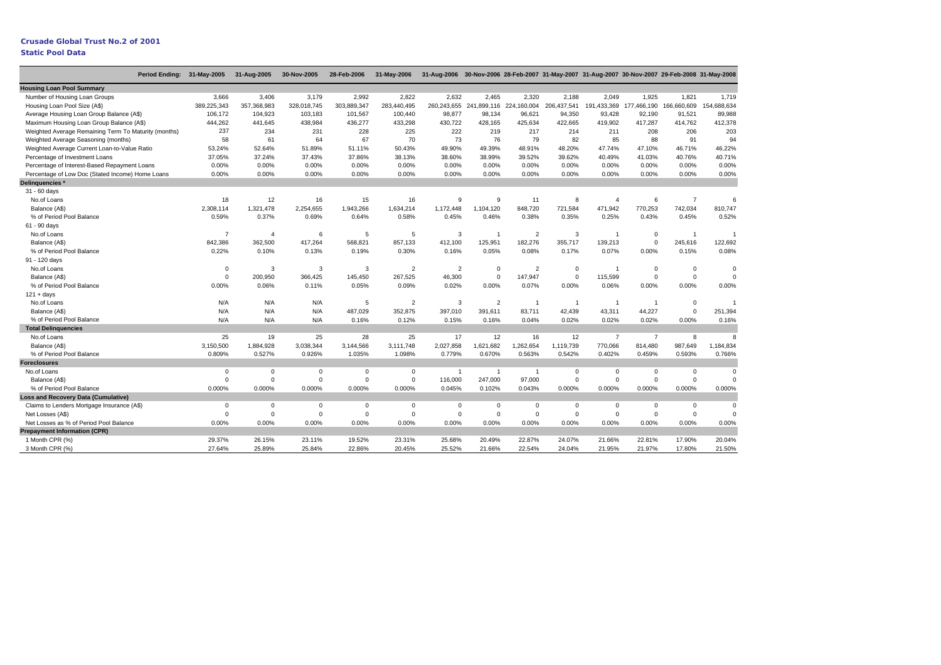Period Ending: 31-May-2005 31-Aug-2005 30-Nov-2005 28-Feb-2006 31-May-2006 31-Aug-2006 30-Nov-2006 28-Feb-2007 31-May-2007 31-Aug-2007 30-Nov-2007 29-Feb-2008 31-May-2008 **Housing Loan Pool Summary** Number of Housing Loan Groups Housing Loan Pool Size (A\$) Average Housing Loan Group Balance (A\$) Maximum Housing Loan Group Balance (A\$) Weighted Average Remaining Term To Maturity (months) Weighted Average Seasoning (months) Weighted Average Current Loan-to-Value Ratio Percentage of Investment Loans Percentage of Interest-Based Repayment Loans Percentage of Low Doc (Stated Income) Home Loans **Delinquencies \*** 31 - 60 days No.of Loans Balance (A\$) % of Period Pool Balance61 - 90 days No.of Loans Balance (A\$) % of Period Pool Balance91 - 120 days No.of Loans Balance (A\$) % of Period Pool Balance $121 + days$ No.of LoansBalance (A\$) % of Period Pool Balance**Total Delinquencies** No.of Loans Balance (A\$) % of Period Pool Balance**Foreclosures** No.of LoansBalance (A\$) % of Period Pool Balance **Loss and Recovery Data (Cumulative)** Claims to Lenders Mortgage Insurance (A\$) Net Losses (A\$) Net Losses as % of Period Pool Balance**Prepayment Information (CPR)** 1 Month CPR (%) 3 Month CPR (%) 3,666 3,406 3,179 2,992 2,822 2,632 2,465 2,320 2,188 2,049 1,925 1,821 1,719 389,225,343 357,368,983 328,018,745 303,889,347 283,440,495 260,243,655 241,899,116 224,160,004 206,437,541 191,433,369 177,466,190 166,660,609 154,688,634 106,172 104,923 103,183 101,567 100,440 98,877 98,134 96,621 94,350 93,428 92,190 91,521 89,988 444,262 441,645 438,984 436,277 433,298 430,722 428,165 425,634 422,665 419,902 417,287 414,762 412,378 237 234 231 228 225 222 219 217 214 211 208 206 20358 61 64 67 70 73 76 79 82 85 88 91 9453.24% 52.64% 51.89% 51.11% 50.43% 49.90% 49.39% 48.91% 48.20% 47.74% 47.10% 46.71% 46.22%37.05% 37.24% 37.43% 37.86% 38.13% 38.60% 38.99% 39.52% 39.62% 40.49% 41.03% 40.76% 40.71%0.00% 0.00% 0.00% 0.00% 0.00% 0.00% 0.00% 0.00% 0.00% 0.00% 0.00% 0.00% 0.00%0.00% 0.00% 0.00% 0.00% 0.00% 0.00% 0.00% 0.00% 0.00% 0.00% 0.00% 0.00% 0.00%18 12 16 15 16 9 9 11 8 4 6 7 62,308,114 1,321,478 2,254,655 1,943,266 1,634,214 1,172,448 1,104,120 848,720 721,584 471,942 770,253 742,034 810,747 0.59% 0.37% 0.69% 0.64% 0.58% 0.45% 0.46% 0.38% 0.35% 0.25% 0.43% 0.45% 0.52%7 4 6 5 5 3 1 2 3 1 0 1 1 842,386 362,500 417,264 568,821 857,133 412,100 125,951 182,276 355,717 139,213 0 245,616 122,692 0.22% 0.10% 0.13% 0.19% 0.30% 0.16% 0.05% 0.08% 0.17% 0.07% 0.00% 0.15% 0.08%0 3 3 3 2 2 0 2 0 1 0 0 0 0 200,950 366,425 145,450 267,525 46,300 0 147,947 0 115,599 0 0 0 0.00% 0.06% 0.11% 0.05% 0.09% 0.02% 0.00% 0.07% 0.00% 0.06% 0.00% 0.00% 0.00%N/A N/A N/A 5 2 3 2 1 1 1 1 0 1N/A N/A N/A 487,029 352,875 397,010 391,611 83,711 42,439 43,311 44,227 0 251,394 N/A N/A N/A 0.16% 0.12% 0.15% 0.16% 0.04% 0.02% 0.02% 0.02% 0.00% 0.16%25 19 25 28 25 17 12 16 12 7 7 8 83,150,500 1,884,928 3,038,344 3,144,566 3,111,748 2,027,858 1,621,682 1,262,654 1,119,739 770,066 814,480 987,649 1,184,834 0.809% 0.527% 0.926% 1.035% 1.098% 0.779% 0.670% 0.563% 0.542% 0.402% 0.459% 0.593% 0.766%0 0 0 0 1 1 1 0 0 0 0 0 0 0 0 0 0 116,000 247,000 97,000 0 0 0 0 0 0.000% 0.000% 0.000% 0.000% 0.000% 0.045% 0.102% 0.043% 0.000% 0.000% 0.000% 0.000% 0.000%0 0 0 0 0 000 0 000 00 0 0 0 0 000 0 000 00.00% 0.00% 0.00% 0.00% 0.00% 0.00% 0.00% 0.00% 0.00% 0.00% 0.00% 0.00% 0.00%29.37% 26.15% 23.11% 19.52% 23.31% 25.68% 20.49% 22.87% 24.07% 21.66% 22.81% 17.90% 20.04%

27.64% 25.89% 25.84% 22.86% 20.45% 25.52% 21.66% 22.54% 24.04% 21.95% 21.97% 17.80% 21.50%

40.71%

0.00%

 $\mathbf 0$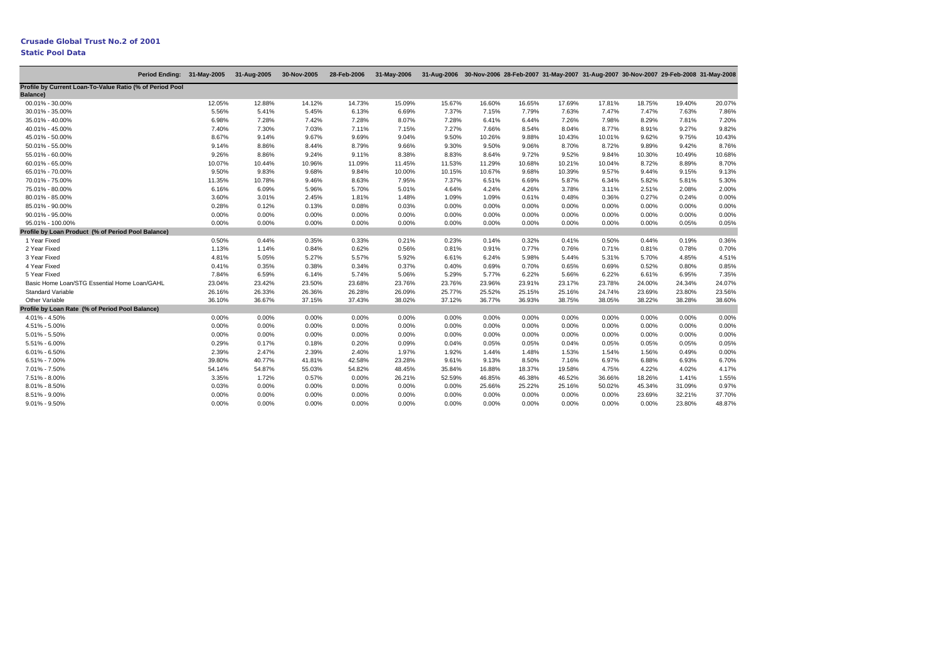|                                                                              | Period Ending: 31-May-2005 |        | 31-Aug-2005 | 30-Nov-2005 | 28-Feb-2006 | 31-May-2006 | 31-Aug-2006 30-Nov-2006 28-Feb-2007 31-May-2007 31-Aug-2007 30-Nov-2007 29-Feb-2008 31-May-2008 |        |        |          |        |        |          |        |
|------------------------------------------------------------------------------|----------------------------|--------|-------------|-------------|-------------|-------------|-------------------------------------------------------------------------------------------------|--------|--------|----------|--------|--------|----------|--------|
| Profile by Current Loan-To-Value Ratio (% of Period Pool<br><b>Balance</b> ) |                            |        |             |             |             |             |                                                                                                 |        |        |          |        |        |          |        |
| 00.01% - 30.00%                                                              |                            | 12.05% | 12.88%      | 14.12%      | 14.73%      | 15.09%      | 15.67%                                                                                          | 16.60% | 16.65% | 17.69%   | 17.81% | 18.75% | 19.40%   | 20.07% |
| 30.01% - 35.00%                                                              |                            | 5.56%  | 5.41%       | 5.45%       | 6.13%       | 6.69%       | 7.37%                                                                                           | 7.15%  | 7.79%  | 7.63%    | 7.47%  | 7.47%  | 7.63%    | 7.86%  |
| 35.01% - 40.00%                                                              |                            | 6.98%  | 7.28%       | 7.42%       | 7.28%       | 8.07%       | 7.28%                                                                                           | 6.41%  | 6.44%  | 7.26%    | 7.98%  | 8.29%  | 7.81%    | 7.20%  |
| 40.01% - 45.00%                                                              |                            | 7.40%  | 7.30%       | 7.03%       | 7.11%       | 7.15%       | 7.27%                                                                                           | 7.66%  | 8.54%  | 8.04%    | 8.77%  | 8.91%  | 9.27%    | 9.82%  |
| 45.01% - 50.00%                                                              |                            | 8.67%  | 9.14%       | 9.67%       | 9.69%       | 9.04%       | 9.50%                                                                                           | 10.26% | 9.88%  | 10.43%   | 10.01% | 9.62%  | 9.75%    | 10.43% |
| 50.01% - 55.00%                                                              |                            | 9.14%  | 8.86%       | 8.44%       | 8.79%       | 9.66%       | 9.30%                                                                                           | 9.50%  | 9.06%  | 8.70%    | 8.72%  | 9.89%  | 9.42%    | 8.76%  |
| 55.01% - 60.00%                                                              |                            | 9.26%  | 8.86%       | 9.24%       | 9.11%       | 8.38%       | 8.83%                                                                                           | 8.64%  | 9.72%  | 9.52%    | 9.84%  | 10.30% | 10.49%   | 10.68% |
| 60.01% - 65.00%                                                              |                            | 10.07% | 10.44%      | 10.96%      | 11.09%      | 11.45%      | 11.53%                                                                                          | 11.29% | 10.68% | 10.21%   | 10.04% | 8.72%  | 8.89%    | 8.70%  |
| 65.01% - 70.00%                                                              |                            | 9.50%  | 9.83%       | 9.68%       | 9.84%       | 10.00%      | 10.15%                                                                                          | 10.67% | 9.68%  | 10.39%   | 9.57%  | 9.44%  | 9.15%    | 9.13%  |
| 70.01% - 75.00%                                                              |                            | 11.35% | 10.78%      | 9.46%       | 8.63%       | 7.95%       | 7.37%                                                                                           | 6.51%  | 6.69%  | 5.87%    | 6.34%  | 5.82%  | 5.81%    | 5.30%  |
| 75.01% - 80.00%                                                              |                            | 6.16%  | 6.09%       | 5.96%       | 5.70%       | 5.01%       | 4.64%                                                                                           | 4.24%  | 4.26%  | 3.78%    | 3.11%  | 2.51%  | 2.08%    | 2.00%  |
| 80.01% - 85.00%                                                              |                            | 3.60%  | 3.01%       | 2.45%       | 1.81%       | 1.48%       | 1.09%                                                                                           | 1.09%  | 0.61%  | 0.48%    | 0.36%  | 0.27%  | 0.24%    | 0.00%  |
| 85.01% - 90.00%                                                              |                            | 0.28%  | 0.12%       | 0.13%       | 0.08%       | 0.03%       | 0.00%                                                                                           | 0.00%  | 0.00%  | 0.00%    | 0.00%  | 0.00%  | 0.00%    | 0.00%  |
| 90.01% - 95.00%                                                              |                            | 0.00%  | 0.00%       | 0.00%       | 0.00%       | 0.00%       | 0.00%                                                                                           | 0.00%  | 0.00%  | 0.00%    | 0.00%  | 0.00%  | 0.00%    | 0.00%  |
| 95.01% - 100.00%                                                             |                            | 0.00%  | 0.00%       | 0.00%       | 0.00%       | 0.00%       | 0.00%                                                                                           | 0.00%  | 0.00%  | 0.00%    | 0.00%  | 0.00%  | 0.05%    | 0.05%  |
| Profile by Loan Product (% of Period Pool Balance)                           |                            |        |             |             |             |             |                                                                                                 |        |        |          |        |        |          |        |
| 1 Year Fixed                                                                 |                            | 0.50%  | 0.44%       | 0.35%       | 0.33%       | 0.21%       | 0.23%                                                                                           | 0.14%  | 0.32%  | 0.41%    | 0.50%  | 0.44%  | 0.19%    | 0.36%  |
| 2 Year Fixed                                                                 |                            | 1.13%  | 1.14%       | 0.84%       | 0.62%       | 0.56%       | 0.81%                                                                                           | 0.91%  | 0.77%  | 0.76%    | 0.71%  | 0.81%  | 0.78%    | 0.70%  |
| 3 Year Fixed                                                                 |                            | 4.81%  | 5.05%       | 5.27%       | 5.57%       | 5.92%       | 6.61%                                                                                           | 6.24%  | 5.98%  | 5.44%    | 5.31%  | 5.70%  | 4.85%    | 4.51%  |
| 4 Year Fixed                                                                 |                            | 0.41%  | 0.35%       | 0.38%       | 0.34%       | 0.37%       | 0.40%                                                                                           | 0.69%  | 0.70%  | 0.65%    | 0.69%  | 0.52%  | 0.80%    | 0.85%  |
| 5 Year Fixed                                                                 |                            | 7.84%  | 6.59%       | 6.14%       | 5.74%       | 5.06%       | 5.29%                                                                                           | 5.77%  | 6.22%  | 5.66%    | 6.22%  | 6.61%  | 6.95%    | 7.35%  |
| Basic Home Loan/STG Essential Home Loan/GAHL                                 |                            | 23.04% | 23.42%      | 23.50%      | 23.68%      | 23.76%      | 23.76%                                                                                          | 23.96% | 23.91% | 23.17%   | 23.78% | 24.00% | 24.34%   | 24.07% |
| <b>Standard Variable</b>                                                     |                            | 26.16% | 26.33%      | 26.36%      | 26.28%      | 26.09%      | 25.77%                                                                                          | 25.52% | 25.15% | 25.16%   | 24.74% | 23.69% | 23.80%   | 23.56% |
| Other Variable                                                               |                            | 36.10% | 36.67%      | 37.15%      | 37.43%      | 38.02%      | 37.12%                                                                                          | 36.77% | 36.93% | 38.75%   | 38.05% | 38.22% | 38.28%   | 38.60% |
| Profile by Loan Rate (% of Period Pool Balance)                              |                            |        |             |             |             |             |                                                                                                 |        |        |          |        |        |          |        |
| 4.01% - 4.50%                                                                |                            | 0.00%  | 0.00%       | 0.00%       | 0.00%       | 0.00%       | 0.00%                                                                                           | 0.00%  | 0.00%  | $0.00\%$ | 0.00%  | 0.00%  | $0.00\%$ | 0.00%  |
| 4.51% - 5.00%                                                                |                            | 0.00%  | 0.00%       | 0.00%       | 0.00%       | 0.00%       | 0.00%                                                                                           | 0.00%  | 0.00%  | 0.00%    | 0.00%  | 0.00%  | 0.00%    | 0.00%  |
| 5.01% - 5.50%                                                                |                            | 0.00%  | 0.00%       | 0.00%       | 0.00%       | 0.00%       | 0.00%                                                                                           | 0.00%  | 0.00%  | 0.00%    | 0.00%  | 0.00%  | 0.00%    | 0.00%  |
| 5.51% - 6.00%                                                                |                            | 0.29%  | 0.17%       | 0.18%       | 0.20%       | 0.09%       | 0.04%                                                                                           | 0.05%  | 0.05%  | 0.04%    | 0.05%  | 0.05%  | 0.05%    | 0.05%  |
| $6.01\% - 6.50\%$                                                            |                            | 2.39%  | 2.47%       | 2.39%       | 2.40%       | 1.97%       | 1.92%                                                                                           | 1.44%  | 1.48%  | 1.53%    | 1.54%  | 1.56%  | 0.49%    | 0.00%  |
| 6.51% - 7.00%                                                                |                            | 39.80% | 40.77%      | 41.81%      | 42.58%      | 23.28%      | 9.61%                                                                                           | 9.13%  | 8.50%  | 7.16%    | 6.97%  | 6.88%  | 6.93%    | 6.70%  |
| 7.01% - 7.50%                                                                |                            | 54.14% | 54.87%      | 55.03%      | 54.82%      | 48.45%      | 35.84%                                                                                          | 16.88% | 18.37% | 19.58%   | 4.75%  | 4.22%  | 4.02%    | 4.17%  |
| 7.51% - 8.00%                                                                |                            | 3.35%  | 1.72%       | 0.57%       | 0.00%       | 26.21%      | 52.59%                                                                                          | 46.85% | 46.38% | 46.52%   | 36.66% | 18.26% | 1.41%    | 1.55%  |
| 8.01% - 8.50%                                                                |                            | 0.03%  | 0.00%       | $0.00\%$    | 0.00%       | 0.00%       | 0.00%                                                                                           | 25.66% | 25.22% | 25.16%   | 50.02% | 45.34% | 31.09%   | 0.97%  |
| 8.51% - 9.00%                                                                |                            | 0.00%  | 0.00%       | 0.00%       | 0.00%       | 0.00%       | 0.00%                                                                                           | 0.00%  | 0.00%  | 0.00%    | 0.00%  | 23.69% | 32.21%   | 37.70% |
| 9.01% - 9.50%                                                                |                            | 0.00%  | 0.00%       | 0.00%       | 0.00%       | 0.00%       | 0.00%                                                                                           | 0.00%  | 0.00%  | 0.00%    | 0.00%  | 0.00%  | 23.80%   | 48.87% |